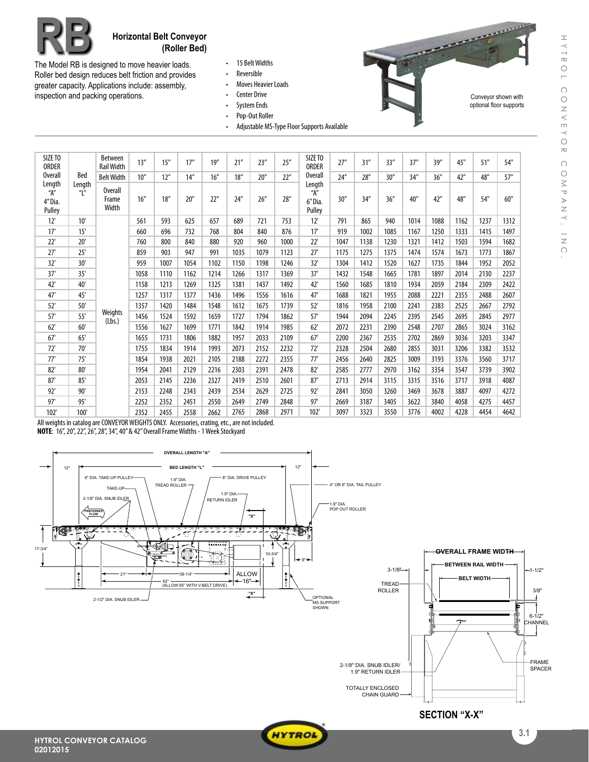Conveyor shown with optional floor supports

 $\overline{\phantom{a}}$ 



## **RB Horizontal Belt Conveyor (Roller Bed)**

The Model RB is designed to move heavier loads. Roller bed design reduces belt friction and provides greater capacity. Applications include: assembly, inspection and packing operations.

- • 15 BeltWidths
- • Reversible
- Moves Heavier Loads
- • Center Drive
- • System Ends
- • Pop-Out Roller
- Adjustable MS-Type Floor Supports Available

| SIZE TO<br>ORDER                               |                             | Between<br><b>Rail Width</b> | 13'' | 15'' | 17'' | 19'' | 21'' | 23'' | 25'' | SIZE TO<br><b>ORDER</b>            | 27'' | 31'' | 33'' | 37"  | 39'' | 45"  | 51"  | 54"  |
|------------------------------------------------|-----------------------------|------------------------------|------|------|------|------|------|------|------|------------------------------------|------|------|------|------|------|------|------|------|
| Overall                                        | Bed                         | <b>Belt Width</b>            | 10'' | 12'' | 14'' | 16'' | 18'' | 20'' | 22"  | Overall                            | 74'' | 28'' | 30'' | 34"  | 36'' | 42"  | 48"  | 57"  |
| Length<br>$\overline{A}''$<br>4"Dia.<br>Pulley | Length<br>$^{\prime\prime}$ | Overall<br>Frame<br>Width    | 16'' | 18'' | 20'' | 22"  | 24'' | 26'' | 28'' | Length<br>"А"<br>6" Dia.<br>Pulley | 30'' | 34'' | 36'' | 40"  | 42'' | 48"  | 54"  | 60"  |
| 12'                                            | 10'                         |                              | 561  | 593  | 625  | 657  | 689  | 721  | 753  | 12'                                | 791  | 865  | 940  | 1014 | 1088 | 1162 | 1237 | 1312 |
| 17'                                            | 15'                         |                              | 660  | 696  | 732  | 768  | 804  | 840  | 876  | 17'                                | 919  | 1002 | 1085 | 1167 | 1250 | 1333 | 1415 | 1497 |
| 22'                                            | 20'                         |                              | 760  | 800  | 840  | 880  | 920  | 960  | 1000 | 22'                                | 1047 | 1138 | 1230 | 1321 | 1412 | 1503 | 1594 | 1682 |
| 27'                                            | 25'                         |                              | 859  | 903  | 947  | 991  | 1035 | 1079 | 1123 | 27'                                | 1175 | 1275 | 1375 | 1474 | 1574 | 1673 | 1773 | 1867 |
| 32'                                            | 30'                         |                              | 959  | 1007 | 1054 | 1102 | 1150 | 1198 | 1246 | 32'                                | 1304 | 1412 | 1520 | 1627 | 1735 | 1844 | 1952 | 2052 |
| 37'                                            | 35'                         |                              | 1058 | 1110 | 1162 | 1214 | 1266 | 1317 | 1369 | 37'                                | 1432 | 1548 | 1665 | 1781 | 1897 | 2014 | 2130 | 2237 |
| 42'                                            | 40'                         |                              | 1158 | 1213 | 1269 | 1325 | 1381 | 1437 | 1492 | 42'                                | 1560 | 1685 | 1810 | 1934 | 2059 | 2184 | 2309 | 2422 |
| 47'                                            | 45'                         |                              | 1257 | 1317 | 1377 | 1436 | 1496 | 1556 | 1616 | 47'                                | 1688 | 1821 | 1955 | 2088 | 2221 | 2355 | 2488 | 2607 |
| 52'                                            | 50'                         |                              | 1357 | 1420 | 1484 | 1548 | 1612 | 1675 | 1739 | 52'                                | 1816 | 1958 | 2100 | 2241 | 2383 | 2525 | 2667 | 2792 |
| 57'                                            | 55'                         | Weights<br>(Lbs.)            | 1456 | 1524 | 1592 | 1659 | 1727 | 1794 | 1862 | 57'                                | 1944 | 2094 | 2245 | 2395 | 2545 | 2695 | 2845 | 2977 |
| 62'                                            | 60'                         |                              | 1556 | 1627 | 1699 | 1771 | 1842 | 1914 | 1985 | 62'                                | 2072 | 2231 | 2390 | 2548 | 2707 | 2865 | 3024 | 3162 |
| 67'                                            | 65'                         |                              | 1655 | 1731 | 1806 | 1882 | 1957 | 2033 | 2109 | 67'                                | 2200 | 2367 | 2535 | 2702 | 2869 | 3036 | 3203 | 3347 |
| 72'                                            | 70'                         |                              | 1755 | 1834 | 1914 | 1993 | 2073 | 2152 | 2232 | 72'                                | 2328 | 2504 | 2680 | 2855 | 3031 | 3206 | 3382 | 3532 |
| 77'                                            | 75'                         |                              | 1854 | 1938 | 2021 | 2105 | 2188 | 2272 | 2355 | 77'                                | 2456 | 2640 | 2825 | 3009 | 3193 | 3376 | 3560 | 3717 |
| 82'                                            | 80'                         |                              | 1954 | 2041 | 2129 | 2216 | 2303 | 2391 | 2478 | 82'                                | 2585 | 2777 | 2970 | 3162 | 3354 | 3547 | 3739 | 3902 |
| 87'                                            | 85'                         |                              | 2053 | 2145 | 2236 | 2327 | 2419 | 2510 | 2601 | 87'                                | 2713 | 2914 | 3115 | 3315 | 3516 | 3717 | 3918 | 4087 |
| 92'                                            | 90'                         |                              | 2153 | 2248 | 2343 | 2439 | 2534 | 2629 | 2725 | 92'                                | 2841 | 3050 | 3260 | 3469 | 3678 | 3887 | 4097 | 4272 |
| 97'                                            | 95'                         |                              | 2252 | 2352 | 2451 | 2550 | 2649 | 2749 | 2848 | 97'                                | 2669 | 3187 | 3405 | 3622 | 3840 | 4058 | 4275 | 4457 |
| 102'                                           | 100'                        |                              | 2352 | 2455 | 2558 | 2662 | 2765 | 2868 | 2971 | 102'                               | 3097 | 3323 | 3550 | 3776 | 4002 | 4228 | 4454 | 4642 |

All weights in catalog are CONVEYOR WEIGHTS ONLY. Accessories, crating, etc., are not included. **NOTE:** 16", 20", 22", 26", 28", 34", 40" & 42" Overall Frame Widths - 1 Week Stockyard